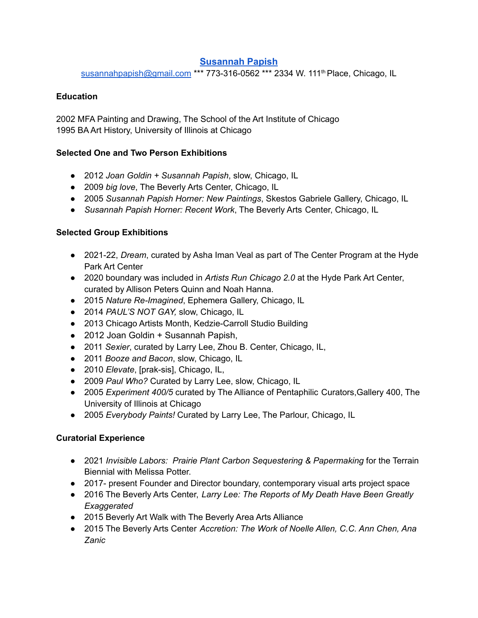# **[Susannah Papish](http://www.susannahpapish.us)**

[susannahpapish@gmail.com](mailto:susannahpapish@gmail.com) \*\*\* 773-316-0562 \*\*\* 2334 W. 111<sup>th</sup> Place, Chicago, IL

### **Education**

2002 MFA Painting and Drawing, The School of the Art Institute of Chicago 1995 BA Art History, University of Illinois at Chicago

#### **Selected One and Two Person Exhibitions**

- 2012 *Joan Goldin + Susannah Papish*, slow, Chicago, IL
- 2009 *big love*, The Beverly Arts Center, Chicago, IL
- 2005 *Susannah Papish Horner: New Paintings*, Skestos Gabriele Gallery, Chicago, IL
- *Susannah Papish Horner: Recent Work*, The Beverly Arts Center, Chicago, IL

# **Selected Group Exhibitions**

- 2021-22, *Dream*, curated by Asha Iman Veal as part of The Center Program at the Hyde Park Art Center
- 2020 boundary was included in *Artists Run Chicago 2.0* at the Hyde Park Art Center, curated by Allison Peters Quinn and Noah Hanna.
- 2015 *Nature Re-Imagined*, Ephemera Gallery, Chicago, IL
- 2014 *PAUL'S NOT GAY,* slow, Chicago, IL
- 2013 Chicago Artists Month, Kedzie-Carroll Studio Building
- 2012 Joan Goldin + Susannah Papish,
- 2011 *Sexier*, curated by Larry Lee, Zhou B. Center, Chicago, IL,
- 2011 *Booze and Bacon*, slow, Chicago, IL
- 2010 *Elevate*, [prak-sis], Chicago, IL,
- 2009 *Paul Who?* Curated by Larry Lee, slow, Chicago, IL
- 2005 *Experiment 400/5* curated by The Alliance of Pentaphilic Curators,Gallery 400, The University of Illinois at Chicago
- 2005 *Everybody Paints!* Curated by Larry Lee, The Parlour, Chicago, IL

# **Curatorial Experience**

- 2021 *Invisible Labors: Prairie Plant Carbon Sequestering & Papermaking* for the Terrain Biennial with Melissa Potter.
- 2017- present Founder and Director boundary, contemporary visual arts project space
- 2016 The Beverly Arts Center, *Larry Lee: The Reports of My Death Have Been Greatly Exaggerated*
- 2015 Beverly Art Walk with The Beverly Area Arts Alliance
- 2015 The Beverly Arts Center *Accretion: The Work of Noelle Allen, C.C. Ann Chen, Ana Zanic*